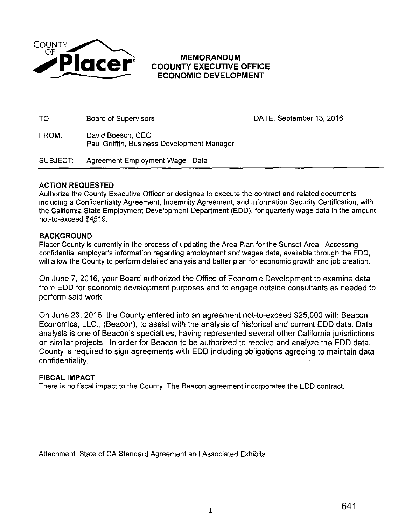

# **COOUNTY EXECUTIVE OFFICE ECONOMIC DEVELOPMENT**

TO: Board of Supervisors DATE: September 13, 2016

FROM: David Boesch, CEO Paul Griffith, Business Development Manager

SUBJECT: Agreement Employment Wage Data

### **ACTION REQUESTED**

Authorize the County Executive Officer or designee to execute the contract and related documents including a Confidentiality Agreement, Indemnity Agreement, and Information Security Certification, with the California State Employment Development Department (EDD), for quarterly wage data in the amount not-to-exceed \$4,519.

### **BACKGROUND**

Placer County is currently in the process of updating the Area Plan for the Sunset Area. Accessing confidential employer's information regarding employment and wages data, available through the EDD, will allow the County to perform detailed analysis and better plan for economic growth and job creation.

On June 7, 2016, your Board authorized the Office of Economic Development to examine data from EDD for economic development purposes and to engage outside consultants as needed to perform said work.

On June 23, 2016, the County entered into an agreement not-to-exceed \$25,000 with Beacon Economics, LLC., (Beacon), to assist with the analysis of historical and current EDD data. Data analysis is one of Beacon's specialties, having represented several other California jurisdictions on similar projects. In order for Beacon to be authorized to receive and analyze the EDD data, County is required to sign agreements with EDD including obligations agreeing to maintain data confidentiality.

### **FISCAL IMPACT**

There is no fiscal impact to the County. The Beacon agreement incorporates the EDD contract.

Attachment: State of CA Standard Agreement and Associated Exhibits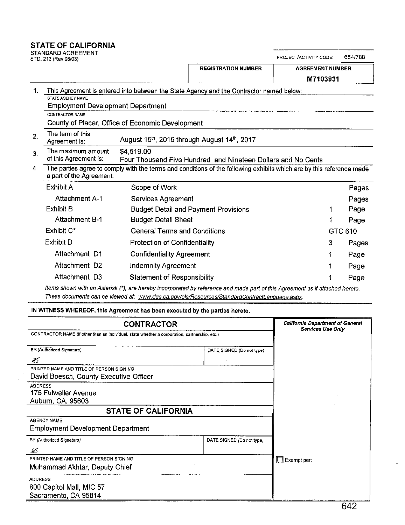### **STATE OF CALIFORNIA**

STANDARD AGREEMENT

| STD. 213 (Rev 06/03)                                                                   |                                                                            | PROJECT/ACTIVITY CODE:<br>654/788                                                                                    |                         |         |  |
|----------------------------------------------------------------------------------------|----------------------------------------------------------------------------|----------------------------------------------------------------------------------------------------------------------|-------------------------|---------|--|
|                                                                                        |                                                                            | <b>REGISTRATION NUMBER</b>                                                                                           | <b>AGREEMENT NUMBER</b> |         |  |
|                                                                                        |                                                                            |                                                                                                                      | M7103931                |         |  |
| 1.<br>STATE AGENCY NAME<br><b>Employment Development Department</b><br>CONTRACTOR NAME |                                                                            | This Agreement is entered into between the State Agency and the Contractor named below:                              |                         |         |  |
|                                                                                        | County of Placer, Office of Economic Development                           |                                                                                                                      |                         |         |  |
| The term of this<br>2.<br>Agreement is:                                                |                                                                            | August 15th, 2016 through August 14th, 2017                                                                          |                         |         |  |
| The maximum amount<br>3.<br>of this Agreement is:                                      | \$4,519.00<br>Four Thousand Five Hundred and Nineteen Dollars and No Cents |                                                                                                                      |                         |         |  |
| 4.<br>a part of the Agreement:                                                         |                                                                            | The parties agree to comply with the terms and conditions of the following exhibits which are by this reference made |                         |         |  |
| Exhibit A                                                                              | Scope of Work                                                              |                                                                                                                      |                         | Pages   |  |
| <b>Attachment A-1</b>                                                                  | Services Agreement                                                         |                                                                                                                      |                         | Pages   |  |
| <b>Exhibit B</b>                                                                       |                                                                            | <b>Budget Detail and Payment Provisions</b>                                                                          | 1                       | Page    |  |
| <b>Attachment B-1</b>                                                                  | <b>Budget Detail Sheet</b>                                                 |                                                                                                                      |                         | Page    |  |
| Exhibit C*                                                                             | <b>General Terms and Conditions</b>                                        |                                                                                                                      |                         | GTC 610 |  |
| Exhibit D                                                                              | <b>Protection of Confidentiality</b>                                       |                                                                                                                      | 3                       | Pages   |  |
| Attachment D1                                                                          | <b>Confidentiality Agreement</b>                                           |                                                                                                                      | 1                       | Page    |  |
| Attachment D <sub>2</sub>                                                              | <b>Indemnity Agreement</b>                                                 |                                                                                                                      |                         | Page    |  |
| Attachment D3                                                                          | <b>Statement of Responsibility</b>                                         |                                                                                                                      |                         | Page    |  |

Items shown with an Asterisk ('), are hereby incorporated by reference and made part of this Agreement as if attached hereto. **These documents can be viewed at: www.dgs.ca.govlols!Resources!StandardContractLanquaqe.aspx.** 

IN WITNESS **WHEREOF,** this Agreement has been executed by the parties hereto.

| <b>CONTRACTOR</b>                                                                             | <b>California Department of General</b><br><b>Services Use Only</b> |                    |
|-----------------------------------------------------------------------------------------------|---------------------------------------------------------------------|--------------------|
| CONTRACTOR NAME (if other than an individual, state whether a corporation, partnership, etc.) |                                                                     |                    |
| BY (Authorized Signature)                                                                     | DATE SIGNED (Do not type)                                           |                    |
| ≤                                                                                             |                                                                     |                    |
| PRINTED NAME AND TITLE OF PERSON SIGNING<br>David Boesch, County Executive Officer            |                                                                     |                    |
| <b>ADDRESS</b><br>175 Fulweiler Avenue<br>Auburn, CA, 95603                                   |                                                                     |                    |
| <b>STATE OF CALIFORNIA</b>                                                                    |                                                                     |                    |
| <b>AGENCY NAME</b><br><b>Employment Development Department</b>                                |                                                                     |                    |
| BY (Authorized Signature)                                                                     | DATE SIGNED (Do not type)                                           |                    |
| $\mathscr{L}$                                                                                 |                                                                     |                    |
| PRINTED NAME AND TITLE OF PERSON SIGNING<br>Muhammad Akhtar, Deputy Chief                     |                                                                     | $\Box$ Exempt per: |
| <b>ADDRESS</b><br>800 Capitol Mall, MIC 57<br>Sacramento, CA 95814                            |                                                                     |                    |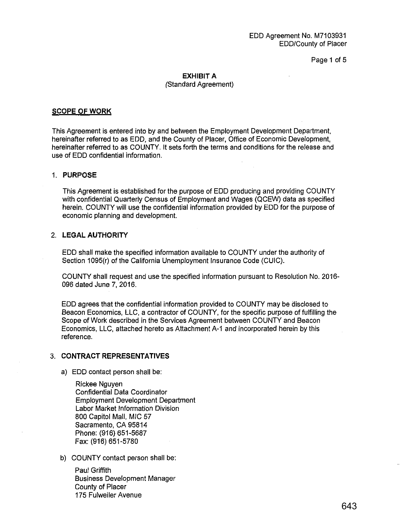Page 1 of 5

#### **EXHIBIT A**  (Standard Agreement)

#### **SCOPE OF WORK**

This Agreement is entered into by and between the Employment Development Department, hereinafter referred to as EDD, and the County of Placer, Office of Economic Development, hereinafter referred to as COUNTY. It sets forth the terms and conditions for the release and use of EDD confidential information.

#### 1. **PURPOSE**

This Agreement is established for the purpose of EDD producing and providing COUNTY with confidential Quarterly Census of Employment and Wages (QCEW) data as specified herein. COUNTY will use the confidential information provided by EDD for the purpose of economic planning and development.

### 2. **LEGAL AUTHORITY**

EDD shall make the specified information available to COUNTY under the authority of Section 1095(r) of the California Unemployment Insurance Code (CUIC).

COUNTY shall request and use the specified information pursuant to Resolution No. 2016- 096 dated June 7, 2016.

EDD agrees that the confidential information provided to COUNTY may be disclosed to Beacon Economics, LLC, a contractor of COUNTY, for the specific purpose of fulfilling the Scope of Work described in the Services Agreement between COUNTY and Beacon Economics, LLC, attached hereto as Attachment A-1 and incorporated herein by this reference.

#### 3. **CONTRACT REPRESENTATIVES**

a) EDD contact person shall be:

Rickee Nguyen Confidential Data Coordinator Employment Development Department Labor Market Information Division 800 Capitol Mall, MIG 57 Sacramento, CA 95814 Phone: (916) 651-5687 Fax: (916) 651-5780

b) COUNTY contact person shall be:

Paul Griffith Business Development Manager County of Placer 175 Fulweiler Avenue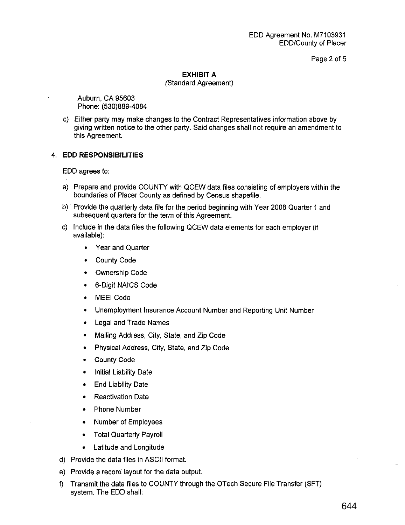Page 2 of 5

### **EXHIBIT A**

#### (Standard Agreement)

Auburn, CA 95603 Phone: (530)889-4084

c) Either party may make changes to the Contract Representatives information above by giving written notice to the other party. Said changes shall not require an amendment to this Agreement.

### 4. **EDD RESPONSIBILITIES**

EDD agrees to:

- a) Prepare and provide COUNTY with QCEW data files consisting of employers within the boundaries of Placer County as defined by Census shapefile.
- b) Provide the quarterly data file for the period beginning with Year 2008 Quarter 1 and subsequent quarters for the term of this Agreement.
- c) Include in the data files the following QCEW data elements for each employer (if available):
	- Year and Quarter
	- County Code
	- Ownership Code
	- 6-Digit NAICS Code
	- MEEI Code
	- Unemployment Insurance Account Number and Reporting Unit Number
	- Legal and Trade Names
	- Mailing Address, City, State, and Zip Code
	- Physical Address, City, State, and Zip Code
	- County Code
	- **Initial Liability Date**
	- End Liability Date
	- Reactivation Date
	- Phone Number
	- Number of Employees
	- Total Quarterly Payroll
	- Latitude and Longitude
- d) Provide the data files in ASCII format.
- e) Provide a record layout for the data output.
- f) Transmit the data files to COUNTY through the OTech Secure File Transfer (SFT) system. The EDD shall: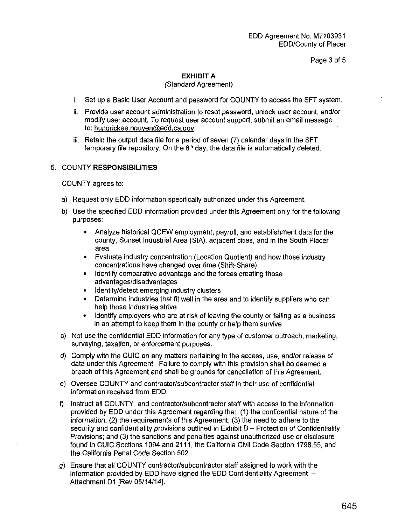Page 3 of 5

### **EXHIBIT A**

#### (Standard Agreement)

- i. Set up a Basic User Account and password for COUNTY to access the SFT system.
- ii. Provide user account administration to reset password, unlock user account, and/or modify user account. To request user account support, submit an email message to: hunqrickee.nguyen@edd.ca.gov.
- iii. Retain the output data file for a period of seven (7) calendar days in the SFT temporary file repository. On the  $8<sup>th</sup>$  day, the data file is automatically deleted.

#### 5. COUNTY **RESPONSIBILITIES**

COUNTY agrees to:

- a) Request only EDD information specifically authorized under this Agreement.
- b) Use the specified EDD information provided under this Agreement only for the following purposes:
	- Analyze historical QCEW employment, payroll, and establishment data for the county, Sunset Industrial Area (SIA), adjacent cities, and in the South Placer area
	- Evaluate industry concentration (Location Quotient) and how those industry concentrations have changed over time (Shift-Share).
	- Identify comparative advantage and the forces creating those advantages/disadvantages
	- Identify/detect emerging industry clusters
	- Determine industries that fit well in the area and to identify suppliers who can help those industries strive
	- Identify employers who are at risk of leaving the county or failing as a business in an attempt to keep them in the county or help them survive
- c) Not use the confidential EDD information for any type of customer outreach, marketing, surveying, taxation, or enforcement purposes.
- d) Comply with the CUIC on any matters pertaining to the access, use, and/or release of data under this Agreement. Failure to comply with this provision shall be deemed a breach of this Agreement and shall be grounds for cancellation of this Agreement.
- e) Oversee COUNTY and contractor/subcontractor staff in their use of confidential information received from EDD.
- f) Instruct all COUNTY and contractor/subcontractor staff with access to the information provided by EDD under this Agreement regarding the: (1) the confidential nature of the information; (2) the requirements of this Agreement; (3) the need to adhere to the security and confidentiality provisions outlined in Exhibit D - Protection of Confidentiality Provisions; and (3) the sanctions and penalties against unauthorized use or disclosure found in CUIC Sections 1094 and 2111, the California Civil Code Section 1798.55, and the California Penal Code Section 502.
- g) Ensure that all COUNTY contractor/subcontractor staff assigned to work with the information provided by EDD have signed the EDD Confidentiality Agreement  $-$ Attachment D1 [Rev 05/14/14].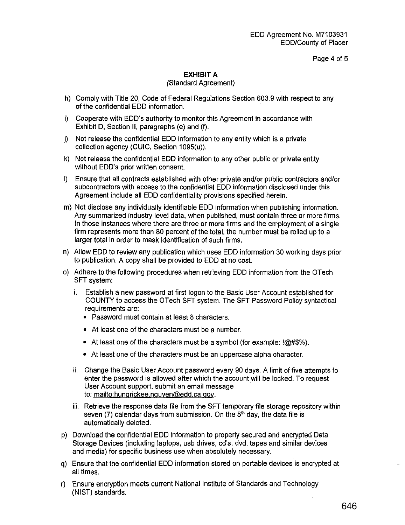Page 4 of 5

### **EXHIBIT A**

#### (Standard Agreement)

- h) Comply with Title 20, Code of Federal Regulations Section 603.9 with respect to any of the confidential EDD information. ·
- i) Cooperate with EDD's authority to monitor this Agreement in accordance with Exhibit D, Section II, paragraphs (e) and (f).
- j) Not release the confidential EDD information to any entity which is a private collection agency (CUIC, Section 1095(u)).
- k) Not release the confidential EDD information to any other public or private entity without EDD's prior written consent.
- I) Ensure that all contracts established with other private and/or public contractors and/or subcontractors with access to the confidential EDD information disclosed under this Agreement include all EDD confidentiality provisions specified herein.
- m) Not disclose any individually identifiable EDD information when publishing information. Any summarized industry level data, when published, must contain three or more firms. In those instances where there are three or more firms and the employment of a single firm represents more than 80 percent of the total, the number must be rolled up to a larger total in order to mask identification of such firms.
- n) Allow EDD to review any publication which uses EDD information 30 working days prior to publication. A copy shall be provided to EDD at no cost.
- o) Adhere to the following procedures when retrieving EDD information from the OTech SFT system:
	- i. Establish a new password at first logon to the Basic User Account established for COUNTY to access the OTech SFT system. The SFT Password Policy syntactical requirements are:
		- Password must contain at least 8 characters.
		- At least one of the characters must be a number.
		- At least one of the characters must be a symbol (for example:  $@#\$$ %).
		- At least one of the characters must be an uppercase alpha character.
	- ii. Change the Basic User Account password every 90 days. A limit of five attempts to enter the password is allowed after which the account will be locked. To request User Account support, submit an email message to: mailto:hungrickee.nguyen@edd.ca.gov.
	- iii. Retrieve the response data file from the SFT temporary file storage repository within seven (7) calendar days from submission. On the  $8<sup>th</sup>$  day, the data file is automatically deleted.
- p) Download the confidential EDD information to properly secured and encrypted Data Storage Devices (including laptops, usb drives, cd's, dvd, tapes and similar devices and media) for specific business use when absolutely necessary.
- q) Ensure that the confidential EDD information stored on portable devices is encrypted at all times.
- r) Ensure encryption meets current National Institute of Standards and Technology (NIST) standards.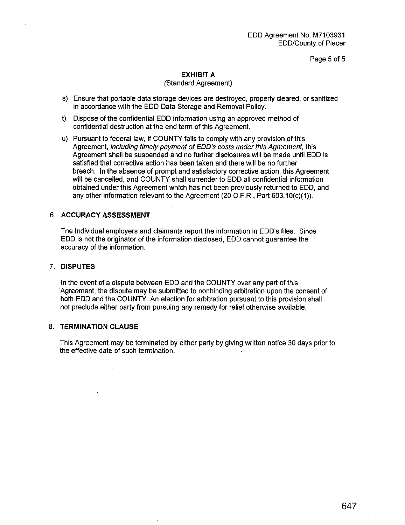EDD Agreement No. M7103931 EDD/County of Placer

Page 5 of 5

### **EXHIBIT A**

#### (Standard Agreement)

- s) Ensure that portable data storage devices are destroyed, properly cleared, or sanitized in accordance with the EDD Data Storage and Removal Policy.
- t) Dispose of the confidential EDD information using an approved method of confidential destruction at the end term of this Agreement.
- u) Pursuant to federal law, if COUNTY fails to comply with any provision of this Agreement, including timely payment of EDD's costs under this Agreement, this Agreement shall be suspended and no further disclosures will be made until EDD is satisfied that corrective action has been taken and there will be no further breach. In the absence of prompt and satisfactory corrective action, this Agreement will be cancelled, and COUNTY shall surrender to EDD all confidential information obtained under this Agreement which has not been previously returned to EDD, and any other information relevant to the Agreement (20 O.F.R., Part 603.1 O(c)(1)).

#### 6. **ACCURACY ASSESSMENT**

The Individual employers and claimants report the information in EDD's files. Since EDD is not the originator of the information disclosed, EDD cannot guarantee the accuracy of the information.

#### 7. **DISPUTES**

In the event of a dispute between EDD and the COUNTY over any part of this Agreement, the dispute may be submitted to nonbinding arbitration upon the consent of both EDD and the COUNTY. An election for arbitration pursuant to this provision shall not preclude either party from pursuing any remedy for relief otherwise available.

### 8. **TERMINATION CLAUSE**

This Agreement may be terminated by either party by giving written notice 30 days prior to the effective date of such termination.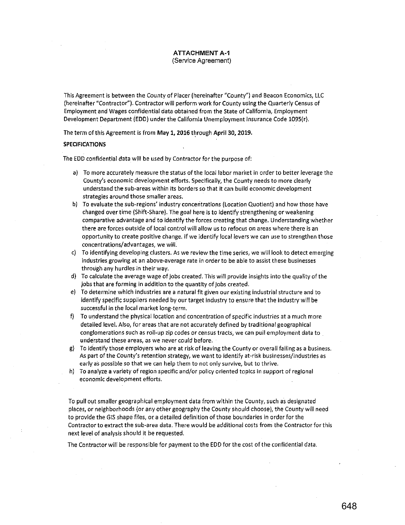This Agreement is between the County of Placer (hereinafter "County") and Beacon Economics, LLC (hereinafter "Contractor"). Contractor will perform work for County using the Quarterly Census of Employment and Wages confidential data obtained from the State of California, Employment Development Department (EDD) under the California Unemployment Insurance Code 1095(r).

The term of this Agreement is from May 1, 2016 through April 30, 2019.

#### SPECIFICATIONS

The EDD confidential data will be used by Contractor for the purpose of:

- a) To more accurately measure the status of the local labor market in orderto better leverage the County's economic development efforts. Specifically, the County needs to more clearly **understand the sub-areas within its borders so that it can build economic development strategies around those smaller areas.**
- b) To evaluate the sub-regions' industry concentrations (Location Quotient) and how those have changed over time (Shift-Share). The goal here is to identify strengthening or weakening comparative advantage and to identify the forces creating that change. Understanding whether there are forces outside of local control will allow us to refocus on areas where there is an opportunity to create positive change. If we identify local levers we can use to strengthen those concentrations/advantages, we will.
- c) To identifying developing clusters. As we review the time series, we will look to detect emerging **industries growing at an above-average rate in order to be able to assist these businesses**  through any hurdles in their way.
- d) To calculate the average wage of jobs created. This will provide insights into the quality of the jobs that are forming in addition to the quantity of jobs created.
- e) To determine which industries are a natural fit given our existing industrial structure and to identify specific suppliers needed by our target industry to ensure that the industry will be successful in the local market long-term.
- f) To understand the physical location and concentration of specific industries at a much more detailed level. Also, for areas that are not accurately defined by traditional geographical **conglomerations such as roll-up zip codes or census tracts, we can pull employment data to understand these areas, as we never could before.**
- g) To identify those employers who are at risk of leaving the County or overall failing as a business. As part of the County's retention strategy, we want to identify at-risk businesses/industries as early as possible so that we can help them to not only survive, but to thrive.
- **h) To analyze a variety of region specific and/or policy oriented topics in support of regional economic development efforts.**

To pull out smaller geographical employment data from within the County, such as designated places, or neighborhoods (or any other geography the County should choose). the County will need to provide the GIS shape files, or a detailed definition of those boundaries in order for the Contractor to extract the suq-area data. There would be additional costs from the Contractor for this next level of analysis should it be requested.

The Contractor will be responsible for payment to the EDD for the cost of the confidential data.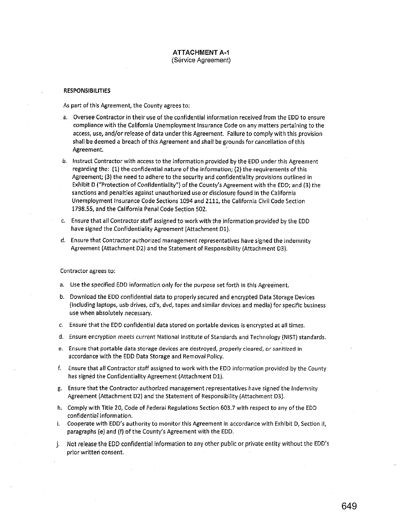#### **ATTACHMENT** A-1 (Service Agreement)

#### RESPONSIBILITIES

As part of this Agreement, the County agrees to:

- a. Oversee Contractor in their use of the confidential information received from the EDD to ensure compliance with the California Unemployment Insurance Code on any matters pertaining to the access, use, and/or release of data under this Agreement. Failure to comply with this provision shall be deemed a breach of this Agreement and shall be grounds for cancellation of this Agreement.
- b. Instruct Contractor with access to the information provided by the EDD under this Agreement regarding the: (1) the confidential nature of the information; (2) the requirements of this Agreement; (3) the need to adhere to the security and confidentiality provisions outlined in Exhibit D ("Protection of Confidentiality") of the County's Agreement with the EDD; and (3) the sanctions and penalties against unauthorized use or disclosure found in the California Unemployment Insurance Code Sections 1094 and 2111, the California Civil Code Section 1798.55, and the California Penal Code Section 502.
- c. Ensure that all Contractor staff assigned to work with the information provided by the EDD have signed the Confidentiality Agreement (Attachment D1).
- d. Ensure that Contractor authorized management representatives have signed the Indemnity Agreement (Attachment D2) and the Statement of Responsibility (Attachment 03).

**Contractor agrees to:** 

- a. Use the specified EDD information only for the purpose set forth in this Agreement.
- b. Download the EDD confidential data to properly secured and encrypted Data Storage Devices (including laptops, usb drives, cd's, dvd, tapes and similar devices and media) for specific business use when absolutely necessary.
- c. Ensure that the EDD confidential data stored on portable devices is encrypted at all times.
- d. Ensure encryption meets current National Institute of Standards and Technology (NIST) standards.
- **e. Ensure that portable data storage devices are destroyed, properly cleared, or sanitized in**  accordance with the EDD Data Storage and Removal Policy.
- f. Ensure that all Contractor staff assigned to work with the EDD information provided by the County has signed the Confidentiality Agreement (Attachment 01).
- g. Ensure that the Contractor authorized management representatives have signed the Indemnity Agreement (Attachment'o2) and the Statement of Responsibility (Attachment D3).
- h. Comply with Title 20, Code of Federal Regulations Section 603.7 with respect to any of the EDD confidential information.
- i. Cooperate with EDD's authority to monitor this Agreement in accordance with Exhibit D, Section II, paragraphs (e) and (f) of the County's Agreement with the EDD.
- j. Not release the EDD confidential information to any other public or private entity without the EDD's prior written consent.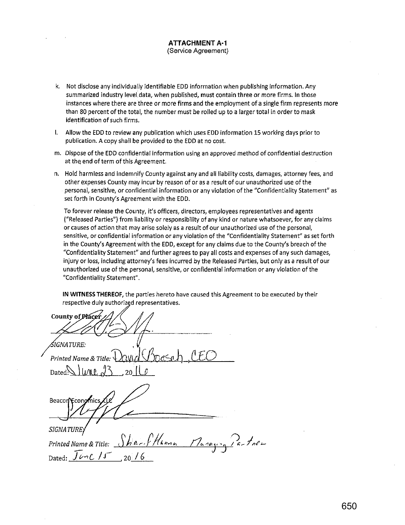#### **ATTACHMENT A·1**  (Service Agreement)

- k. Not disclose any individually identifiable EDD information when publishing information. Any summarized industry level data, when published, must contain three or more firms. In those instances where there are three or more firms and the employment of a single firm represents more than 80 percent of the total, the number must be rolled up to a larger total in order to mask identification of such firms.
- I. Allow the EDD to review any publication which uses EDD information 15 working days prior to publication. A copy shall be provided to the EDD at no cost.
- m. Dispose of the EDD confidential information using an approved method of confidential destruction at the end of term of this Agreement.
- n. Hold harmless and indemnify County against any and all liability costs, damages, attorney fees, and other expenses County may incur by reason of or as a result of our unauthorized use of the personal, sensitive, or confidential information or any violation of the "Confidentiality Statement" as set forth in County's Agreement with the EDD.

To forever release the County, it's officers, directors, employees representatives and agents ("Released Parties") from liability or responsibility of any kind or nature whatsoever, for any claims or causes of action that may arise solely as a result of our unauthorized use of the personal, sensitive, or confidential information or any violation of the "Confidentiality Statement" as set forth in the County's Agreement with the EDD, except for any claims due to the County's breach of the "Confidentiality Statement" and further agrees to pay all costs and expenses of any such damages, injury or loss, including attorney's fees incurred by the Released Parties, but only as a result of our unauthorized use of the personal, sensitive, or confidential information or any violation of the "Confidentiality Statement".

**IN WITNESS THEREOF,** the parties hereto have caused this Agreement to be executed by their respective duly authorized representatives.

County of Placei *IGNATURE:* . *Printed Name & Title:*  $\Omega \cup \Omega$   $\Omega$ Dated $\cup$  I LMP Beacon **Economics** SIGNATURE. *Printed Name & Title: cthP-r-f flhmnn* Dated:  $\overline{J}$ *en*  $\overline{J}$  15 20 16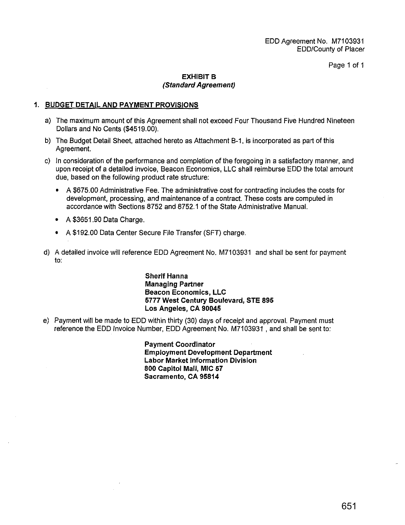Page 1 of 1

### **EXHIBIT B (Standard Agreement)**

### **1. BUDGET DETAIL AND PAYMENT PROVISIONS**

- a) The maximum amount of this Agreement shall not exceed Four Thousand Five Hundred Nineteen Dollars and No Cents (\$4519.00).
- b) The Budget Detail Sheet, attached hereto as Attachment B-1, is incorporated as part of this Agreement.
- c) In consideration of the performance and completion of the foregoing in a satisfactory manner, and upon receipt of a detailed invoice, Beacon Economics, LLC shall reimburse EDD the total amount due, based on the following product rate structure:
	- A \$675.00 Administrative Fee. The administrative cost for contracting includes the costs for development, processing, and maintenance of a contract. These costs are computed in accordance with Sections 8752 and 8752.1 of the State Administrative Manual.
	- A \$3651.90 Data Charge.
	- A \$192.00 Data Center Secure File Transfer (SFT) charge.
- d) A detailed invoice will reference EDD Agreement No. M7103931 and shall be sent for payment to:

**Sherif Hanna Managing Partner Beacon Economics, LLC 5777 West Century Boulevard, STE 895 Los Angeles, CA 90045** 

e) Payment will be made to EDD within thirty (30) days of receipt and approval. Payment must reference the EDD Invoice Number, EDD Agreement No. M7103931 , and shall be sent to:

> **Payment Coordinator Employment Development Department Labor Market Information Division 800 Capitol Mall, MIC 57 Sacramento, CA 95814**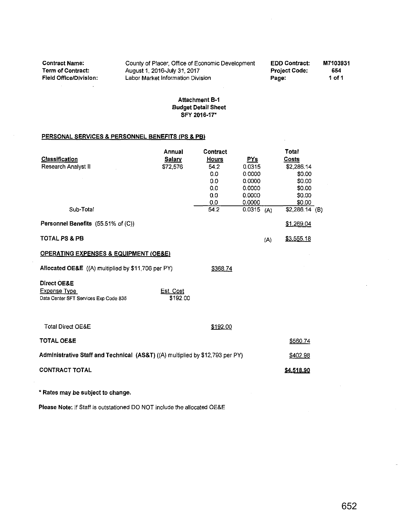Contract Name: Term of Contract:<br>Field Office/Division:  $\sim$  $\mathcal{A}$ 

County of Placer, Office of Economic Development August 1, 2016-July 31,2017 Labor Market Information Division

EDD Contract: Project Code: Page: M7103931 654 1 of 1

### Attachment B-1 Budget Detail Sheet SFY 2016-17"

#### PERSONAL SERVICES & PERSONNEL BENEFITS (PS & PB)

|                                                                               | Annual        | Contract     |              | Total             |
|-------------------------------------------------------------------------------|---------------|--------------|--------------|-------------------|
| <b>Classification</b>                                                         | <b>Salary</b> | <b>Hours</b> | PYs          | <b>Costs</b>      |
| Research Analyst II                                                           | \$72,576      | 54.2         | 0.0315       | \$2,286.14        |
|                                                                               |               | 0.0          | 0.0000       | \$0.00            |
|                                                                               |               | 0.0          | 0.0000       | \$0.00            |
|                                                                               |               | 0.0          | 0.0000       | \$0.00            |
|                                                                               |               | 0.0          | 0.0000       | \$0.00            |
|                                                                               |               | 0.0          | 0.0000       | \$0.00            |
| Sub-Total                                                                     |               | 54.2         | $0.0315$ (A) | $$2,286.14$ (B)   |
| Personnel Benefits (55.51% of (C))                                            |               |              |              | \$1,269.04        |
| <b>TOTAL PS &amp; PB</b>                                                      |               |              | (A)          | <u>\$3,555.18</u> |
| <b>OPERATING EXPENSES &amp; EQUIPMENT (OE&amp;E)</b>                          |               |              |              |                   |
| Allocated OE&E ((A) multiplied by \$11,706 per PY)                            |               | \$368.74     |              |                   |
| Direct OE&E                                                                   |               |              |              |                   |
| <b>Expense Type</b>                                                           | Est. Cost     |              |              |                   |
| Data Center SFT Services Exp Code 835                                         | \$192.00      |              |              |                   |
| <b>Total Direct OE&amp;E</b>                                                  |               | \$192.00     |              |                   |
|                                                                               |               |              |              |                   |
| <b>TOTAL OE&amp;E</b>                                                         |               |              |              | \$560.74          |
| Administrative Staff and Technical (AS&T) ((A) multiplied by \$12,793 per PY) |               |              |              | \$402.98          |
| <b>CONTRACT TOTAL</b>                                                         |               |              |              | \$4,518.90        |
| * Rates may be subject to change.                                             |               |              |              |                   |

Please Note: If Staff is outstationed DO NOT include the allocated OE&E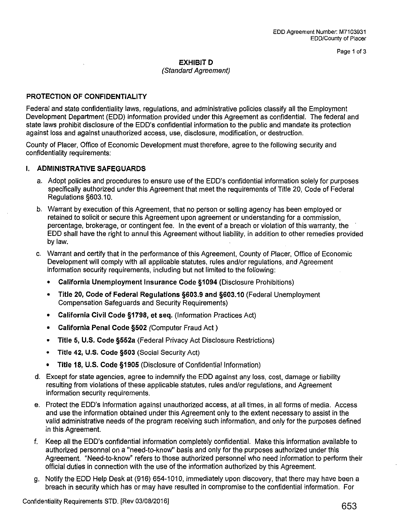Page 1 of 3

### **EXHIBITD**

### (Standard Agreement)

### **PROTECTION OF CONFIDENTIALITY**

Federal and state confidentiality laws, regulations, and administrative policies classify all the Employment Development Department (EDD) information provided under this Agreement as confidential. The federal and state laws prohibit disclosure of the EDD's confidential information to the public and mandate its protection against loss and against unauthorized access, use, disclosure, modification, or destruction.

County of Placer, Office of Economic Development must therefore, agree to the following security and confidentiality requirements:

### **I. ADMINISTRATIVE SAFEGUARDS**

- a. Adopt policies and procedures to ensure use of the EDD's confidential information solely for purposes specifically authorized under this Agreement that meet the requirements of Title 20, Code of Federal Regulations §603.10.
- b. Warrant by execution of this Agreement, that no person or selling agency has been employed or retained to solicit or secure this Agreement upon agreement or understanding for a commission, percentage, brokerage, or contingent fee. In the event of a breach or violation of this warranty, the EDD shall have the right to annul this Agreement without liability, in addition to other remedies provided bylaw.
- c. Warrant and certify that in the performance of this Agreement, County of Placer, Office of Economic Development will comply with all applicable statutes, rules and/or regulations, and Agreement information security requirements, including but not limited to the following:
	- **California Unemployment Insurance Code §1094** (Disclosure Prohibitions)
	- **Title 20, Code of Federal Regulations §603.9 and §603.10** (Federal Unemployment Compensation Safeguards and Security Requirements)
	- **California Civil Code §1798, et seq.** (Information Practices Act)
	- **California Penal Code §502** (Computer Fraud Act)
	- **Title 5, U.S. Code §552a** (Federal Privacy Act Disclosure Restrictions)
	- **Title 42, U.S. Code §503** (Social Security Act)
	- **Title 18, U.S. Code §1905** (Disclosure of Confidential Information)
- d. Except for state agencies, agree to indemnify the EDD against any loss, cost, damage or liability resulting from violations of these applicable statutes, rules and/or regulations, and Agreement information security requirements.
- e. Protect the EDD's information against unauthorized access, at all times, in all forms of media. Access and use the information obtained under this Agreement only to the extent necessary to assist in the valid administrative needs of the program receiving such information, and only for the purposes defined in this Agreement.
- f. Keep all the EDD's confidential information completely confidential. Make this information available to authorized personnel on a "need-to-know" basis and only for the purposes authorized under this Agreement. "Need-to-know" refers to those authorized personnel who need information to perform their official duties in connection with the use of the information authorized by this Agreement.
- g. Notify the EDD Help Desk at (916) 654-1010, immediately upon discovery, that there may have been a breach in security which has or may have resulted in compromise to the confidential information. For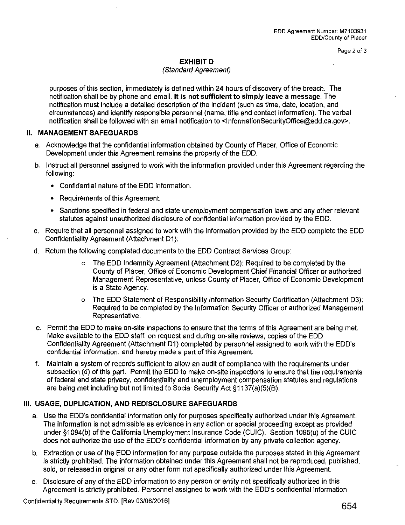Page 2 of 3

### **EXHIBITD**

### (Standard Agreement)

purposes of this section, immediately is defined within 24 hours of discovery of the breach. The notification shall be by phone and email. **It is not sufficient to simply leave a message.** The notification must include a detailed description of the incident (such as time, date, location, and circumstances) and identify responsible personnel (name, title and contact information). The verbal notification shall be followed with an email notification to <lnformationSecurityOffice@edd.ca.gov>.

### **II. MANAGEMENT SAFEGUARDS**

- a. Acknowledge that the confidential information obtained by County of Placer, Office of Economic Development under this Agreement remains the property of the EDD.
- b. Instruct all personnel assigned to work with the information provided under this Agreement regarding the following:
	- Confidential nature of the EDD information.
	- Requirements of this Agreement.
	- Sanctions specified in federal and state unemployment compensation laws and any other relevant statutes against unauthorized disclosure of confidential information provided by the EDD.
- c. Require that all personnel assigned to work with the information provided by the EDD complete the EDD Confidentiality Agreement (Attachment D1):
- d. Return the following completed documents to the EDD Contract Services Group:
	- o The EDD Indemnity Agreement (Attachment D2): Required to be completed by the County of Placer, Office of Economic Development Chief Financial Officer or authorized Management Representative, unless County of Placer, Office of Economic Development is a State Agency.
	- o The EDD Statement of Responsibility Information Security Certification (Attachment 03): Required to be completed by the Information Security Officer or authorized Management Representative.
- e. Permit the EDD to make on-site inspections to ensure that the terms of this Agreement are being met. Make available to the EDD staff, on request and during on-site reviews, copies of the EDD Confidentiality Agreement (Attachment D1) completed by personnel assigned to work with the EDD's confidential information, and hereby made a part of this Agreement.
- f. Maintain a system of records sufficient to allow an audit of compliance with the requirements under subsection (d) of this part. Permit the EDD to make on-site inspections to ensure that the requirements of federal and state privacy, confidentiality and unemployment compensation statutes and regulations are being met including but not limited to Social Security Act §1137(a)(5)(B).

### **Ill. USAGE, DUPLICATION, AND REDISCLOSURE SAFEGUARDS**

- a. Use the EDD's confidential information only for purposes specifically authorized under this Agreement. The information is not admissible as evidence in any action or special proceeding except as provided under §1094(b) of the California Unemployment Insurance Code (CUIC). Section 1095(u) of the CUIC does not authorize the use of the EDD's confidential information by any private collection agency.
- b. Extraction or use of the EDD information for any purpose outside the purposes stated in this Agreement is strictly prohibited. The information obtained under this Agreement shall not be reproduced, published, sold, or released in original or any other form not specifically authorized under this Agreement.
- c. Disclosure of any of the EDD information to any person or entity not specifically authorized in this Agreement is strictly prohibited. Personnel assigned to work with the EDD's confidential information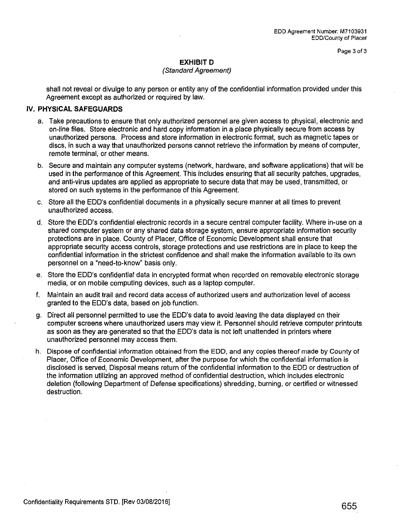Page 3 of 3

### **EXHIBITD**

### (Standard Agreement)

shall not reveal or divulge to any person or entity any of the confidential information provided under this Agreement except as authorized or required by law.

### IV. **PHYSICAL SAFEGUARDS**

- a. Take precautions to ensure that only authorized personnel are given access to physical, electronic and on-line files. Store electronic and hard copy information in a place physically secure from access by unauthorized persons. Process and store information in electronic format, such as magnetic tapes or discs, in such a way that unauthorized persons cannot retrieve the information by means of computer, remote terminal, or other means.
- b. Secure and maintain any computer systems (network, hardware, and software applications) that will be used in the performance of this Agreement. This includes ensuring that all security patches, upgrades, and anti-virus updates are applied as appropriate to secure data that may be used, transmitted, or stored on such systems in the performance of this Agreement.
- c. Store all the EDD's confidential documents in a physically secure manner at all times to prevent unauthorized access.
- d. Store the EDD's confidential electronic records in a secure central computer facility. Where in-use on a shared computer system or any shared data storage system, ensure appropriate information security protections are in place. County of Placer, Office of Economic Development shall ensure that appropriate security access controls, storage protections and use restrictions are in place to keep the confidential information in the strictest confidence and shall make the information available to its own personnel on a "need-to-know'' basis only.
- e. Store the EDD's confidential data in encrypted format when recorded on removable electronic storage media, or on mobile computing devices, such as a laptop computer.
- f. Maintain an audit trail and record data access of authorized users and authorization level of access granted to the EDD's data, based on job function.
- g. Direct all personnel permitted to use the EDD's data to avoid leaving the data displayed on their computer screens where unauthorized users may view it. Personnel should retrieve computer printouts as soon as they are generated so that the EDD's data is not left unattended in printers where unauthorized personnel may access them.
- h. Dispose of confidential information obtained from the EDD, and any copies thereof made by County of Placer, Office of Economic Development, after the purpose for which the confidential information is disclosed is served; Disposal means return of the confidential information to the EDD or destruction of the information utilizing an approved method of confidential destruction, which includes electronic deletion (following Department of Defense specifications) shredding, burning, or certified or witnessed destruction.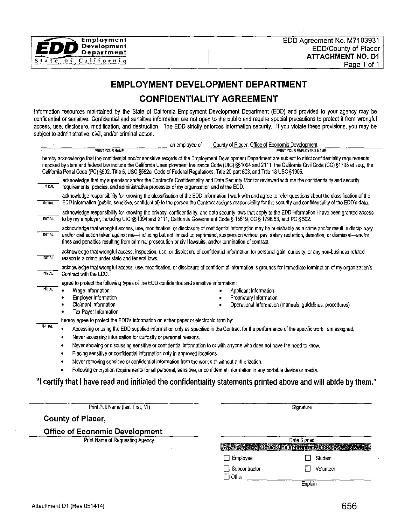

## **EMPLOYMENT DEVELOPMENT DEPARTMENT**

## **CONFIDENTIALITY AGREEMENT**

Information resources maintained by the State of California Employment Development Department (EDD) and provided to your agency may be confidential or sensitive. Confidential and sensitive information are not open to the public and require special precautions to protect it from wrongful access, use, disclosure, modification, and destruction. The EDD strictly enforces information security. If you violate these provisions, you may be subject to administrative, civil, and/or criminal action.

|                | an employee of<br><b>PRINT YOUR NAME</b>                                                                                                                                                                                                                                                                                                                                                                                                                                                                                                                                                                                                                                                                                                                    |  | County of Placer, Office of Economic Development<br>PRINT YOUR FMPLOYER'S NAME                                |  |
|----------------|-------------------------------------------------------------------------------------------------------------------------------------------------------------------------------------------------------------------------------------------------------------------------------------------------------------------------------------------------------------------------------------------------------------------------------------------------------------------------------------------------------------------------------------------------------------------------------------------------------------------------------------------------------------------------------------------------------------------------------------------------------------|--|---------------------------------------------------------------------------------------------------------------|--|
|                | hereby acknowledge that the confidential and/or sensitive records of the Employment Development Department are subject to strict confidentiality requirements<br>imposed by state and federal law include the California Unemployment Insurance Code (UIC) §§1094 and 2111, the California Civil Code (CC) §1798 et seq., the<br>California Penal Code (PC) §502, Title 5, USC §552a, Code of Federal Regulations, Title 20 part 603, and Title 18 USC §1905.                                                                                                                                                                                                                                                                                               |  |                                                                                                               |  |
| <b>INITIAL</b> | acknowledge that my supervisor and/or the Contract's Confidentiality and Data Security Monitor reviewed with me the confidentiality and security<br>requirements, policies, and administrative processes of my organization and of the EDD.                                                                                                                                                                                                                                                                                                                                                                                                                                                                                                                 |  |                                                                                                               |  |
| <b>INITIAL</b> | acknowledge responsibility for knowing the classification of the EDD information I work with and agree to refer questions about the classification of the<br>EDD information (public, sensitive, confidential) to the person the Contract assigns responsibility for the security and confidentiality of the EDD's data.                                                                                                                                                                                                                                                                                                                                                                                                                                    |  |                                                                                                               |  |
| <b>INITIAL</b> | acknowledge responsibility for knowing the privacy, confidentiality, and data security laws that apply to the EDD information I have been granted access<br>to by my employer, including UIC §§ 1094 and 2111, California Government Code § 15619, CC § 1798.53, and PC § 502.                                                                                                                                                                                                                                                                                                                                                                                                                                                                              |  |                                                                                                               |  |
| <b>INITIAL</b> | acknowledge that wrongful access, use, modification, or disclosure of confidential information may be punishable as a crime and/or result in disciplinary<br>and/or civil action taken against me-including but not limited to: reprimand, suspension without pay, salary reduction, demotion, or dismissal-and/or<br>fines and penalties resulting from criminal prosecution or civil lawsuits, and/or termination of contract.                                                                                                                                                                                                                                                                                                                            |  |                                                                                                               |  |
| <b>INITIAL</b> | acknowledge that wrongful access, inspection, use, or disclosure of confidential information for personal gain, curiosity, or any non-business related<br>reason is a crime under state and federal laws.                                                                                                                                                                                                                                                                                                                                                                                                                                                                                                                                                   |  |                                                                                                               |  |
| <b>INITIAL</b> | acknowledge that wrongful access, use, modification, or disclosure of confidential information is grounds for immediate termination of my organization's<br>Contract with the EDD.                                                                                                                                                                                                                                                                                                                                                                                                                                                                                                                                                                          |  |                                                                                                               |  |
| <b>INITIAL</b> | agree to protect the following types of the EDD confidential and sensitive information:<br>Wage Information<br>Employer Information<br>Claimant Information<br>٠<br>Tax Payer Information<br>٠                                                                                                                                                                                                                                                                                                                                                                                                                                                                                                                                                              |  | Applicant Information<br>Proprietary Information<br>Operational Information (manuals, guidelines, procedures) |  |
| <b>INITIAL</b> | hereby agree to protect the EDD's information on either paper or electronic form by:<br>Accessing or using the EDD supplied information only as specified in the Contract for the performance of the specific work I am assigned.<br>Never accessing information for curiosity or personal reasons.<br>٠<br>Never showing or discussing sensitive or confidential information to or with anyone who does not have the need to know.<br>٠<br>Placing sensitive or confidential information only in approved locations.<br>٠<br>Never removing sensitive or confidential information from the work site without authorization.<br>Following encryption requirements for all personal, sensitive, or confidential information in any portable device or media. |  |                                                                                                               |  |
|                | "I certify that I have read and initialed the confidentiality statements printed above and will abide by them."                                                                                                                                                                                                                                                                                                                                                                                                                                                                                                                                                                                                                                             |  |                                                                                                               |  |
|                | Print Full Name (last, first, MI)                                                                                                                                                                                                                                                                                                                                                                                                                                                                                                                                                                                                                                                                                                                           |  | Signature                                                                                                     |  |
|                | <b>County of Placer,</b>                                                                                                                                                                                                                                                                                                                                                                                                                                                                                                                                                                                                                                                                                                                                    |  |                                                                                                               |  |
|                | <b>Office of Economic Development</b><br>Print Name of Requesting Agency                                                                                                                                                                                                                                                                                                                                                                                                                                                                                                                                                                                                                                                                                    |  | Date Signed                                                                                                   |  |

| Date Signed                   |                       |           |
|-------------------------------|-----------------------|-----------|
|                               | <b>Termoronmethox</b> |           |
| $\Box$ Employee               |                       | Student   |
| Subcontractor<br>$\Box$ Other |                       | Volunteer |
|                               | Explain               |           |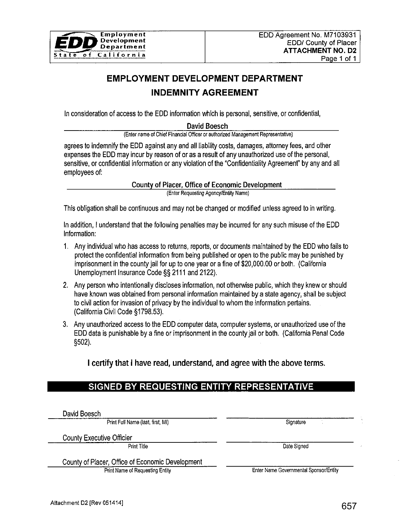

# **EMPLOYMENT DEVELOPMENT DEPARTMENT INDEMNITY AGREEMENT**

In consideration of access to the EDD information which is personal, sensitive, or confidential,

David Boesch

(Enter name of Chief Financial Officer or authorized Management Representative)

agrees to indemnify the EDD against any and all liability costs, damages, attorney fees, and other expenses the EDD may incur by reason of or as a result of any unauthorized use of the personal, sensitive, or confidential information or any violation of the "Confidentiality Agreement" by any and all employees of:

County of Placer, Office of Economic Development

(Enter Requesting Agency/Entity Name)

This obligation shall be continuous and may not be changed or modified unless agreed to in writing.

In addition, I understand that the following penalties may be incurred for any such misuse of the EDD Information:

- 1. Any individual who has access to returns, reports, or documents maintained by the EDD who fails to protect the confidential information from being published or open to the public may be punished by imprisonment in the county jail for up to one year or a fine of \$20,000.00 or both. (California Unemployment Insurance Code§§ 2111 and 2122).
- 2. Any person who intentionally discloses information, not otherwise public, which they knew or should have known was obtained from personal information maintained by a state agency, shall be subject to civil action for invasion of privacy by the individual to whom the information pertains. (California Civil Code §1798.53).
- 3. Any unauthorized access to the EDD computer data, computer systems, or unauthorized use of the EDD data is punishable by a fine or imprisonment in the county jail or both. (California Penal Code §502).

I certify that I have read, understand, and agree with the above terms.

## **SIGNED BY REQUESTING ENTITY REPRESENTATIVE**

David Boesch

Print Full Name (last, first, MI) Signature

County Executive Officier

Print Title Date Signed

County of Placer, Office of Economic Development

Print Name of Requesting Entity Enter Name Governmental Sponsor/Entity